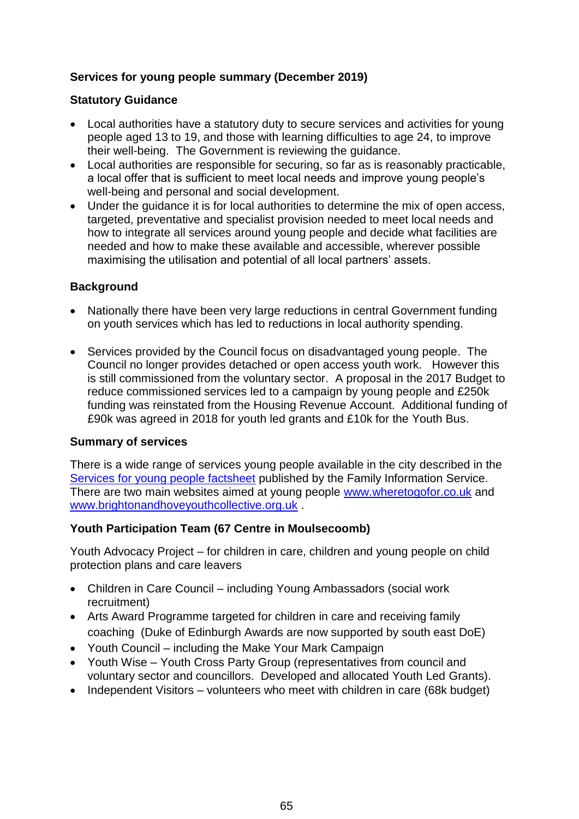# **Services for young people summary (December 2019)**

## **Statutory Guidance**

- Local authorities have a statutory duty to secure services and activities for young people aged 13 to 19, and those with learning difficulties to age 24, to improve their well-being. The Government is reviewing the guidance.
- Local authorities are responsible for securing, so far as is reasonably practicable, a local offer that is sufficient to meet local needs and improve young people's well-being and personal and social development.
- Under the guidance it is for local authorities to determine the mix of open access, targeted, preventative and specialist provision needed to meet local needs and how to integrate all services around young people and decide what facilities are needed and how to make these available and accessible, wherever possible maximising the utilisation and potential of all local partners' assets.

#### **Background**

- Nationally there have been very large reductions in central Government funding on youth services which has led to reductions in local authority spending.
- Services provided by the Council focus on disadvantaged young people. The Council no longer provides detached or open access youth work. However this is still commissioned from the voluntary sector. A proposal in the 2017 Budget to reduce commissioned services led to a campaign by young people and £250k funding was reinstated from the Housing Revenue Account. Additional funding of £90k was agreed in 2018 for youth led grants and £10k for the Youth Bus.

#### **Summary of services**

There is a wide range of services young people available in the city described in the [Services for young people factsheet](https://search3.openobjects.com/mediamanager/brighton/fsd/files/services_for_young_people_-_june_2019_1.pdf) published by the Family Information Service. There are two main websites aimed at young people [www.wheretogofor.co.uk](http://www.wheretogofor.co.uk/) and [www.brightonandhoveyouthcollective.org.uk](http://www.brightonandhoveyouthcollective.org.uk/) .

## **Youth Participation Team (67 Centre in Moulsecoomb)**

Youth Advocacy Project – for children in care, children and young people on child protection plans and care leavers

- Children in Care Council including Young Ambassadors (social work recruitment)
- Arts Award Programme targeted for children in care and receiving family coaching (Duke of Edinburgh Awards are now supported by south east DoE)
- Youth Council including the Make Your Mark Campaign
- Youth Wise Youth Cross Party Group (representatives from council and voluntary sector and councillors. Developed and allocated Youth Led Grants).
- Independent Visitors volunteers who meet with children in care (68k budget)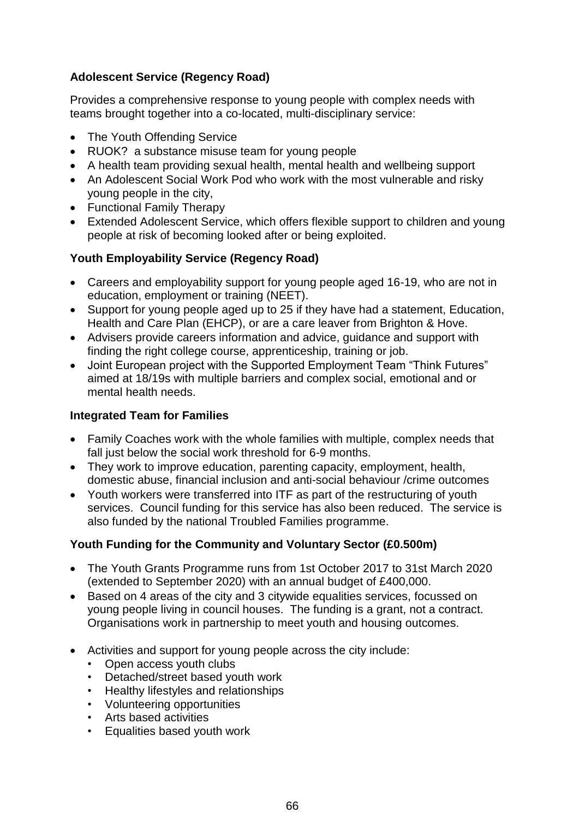# **Adolescent Service (Regency Road)**

Provides a comprehensive response to young people with complex needs with teams brought together into a co-located, multi-disciplinary service:

- The Youth Offending Service
- RUOK? a substance misuse team for young people
- A health team providing sexual health, mental health and wellbeing support
- An Adolescent Social Work Pod who work with the most vulnerable and risky young people in the city,
- Functional Family Therapy
- Extended Adolescent Service, which offers flexible support to children and young people at risk of becoming looked after or being exploited.

## **Youth Employability Service (Regency Road)**

- Careers and employability support for young people aged 16-19, who are not in education, employment or training (NEET).
- Support for young people aged up to 25 if they have had a statement, Education, Health and Care Plan (EHCP), or are a care leaver from Brighton & Hove.
- Advisers provide careers information and advice, guidance and support with finding the right college course, apprenticeship, training or job.
- Joint European project with the Supported Employment Team "Think Futures" aimed at 18/19s with multiple barriers and complex social, emotional and or mental health needs.

## **Integrated Team for Families**

- Family Coaches work with the whole families with multiple, complex needs that fall just below the social work threshold for 6-9 months.
- They work to improve education, parenting capacity, employment, health, domestic abuse, financial inclusion and anti-social behaviour /crime outcomes
- Youth workers were transferred into ITF as part of the restructuring of youth services. Council funding for this service has also been reduced. The service is also funded by the national Troubled Families programme.

## **Youth Funding for the Community and Voluntary Sector (£0.500m)**

- The Youth Grants Programme runs from 1st October 2017 to 31st March 2020 (extended to September 2020) with an annual budget of £400,000.
- Based on 4 areas of the city and 3 citywide equalities services, focussed on young people living in council houses. The funding is a grant, not a contract. Organisations work in partnership to meet youth and housing outcomes.
- Activities and support for young people across the city include:
	- Open access youth clubs
	- Detached/street based youth work
	- Healthy lifestyles and relationships
	- Volunteering opportunities
	- Arts based activities
	- Equalities based youth work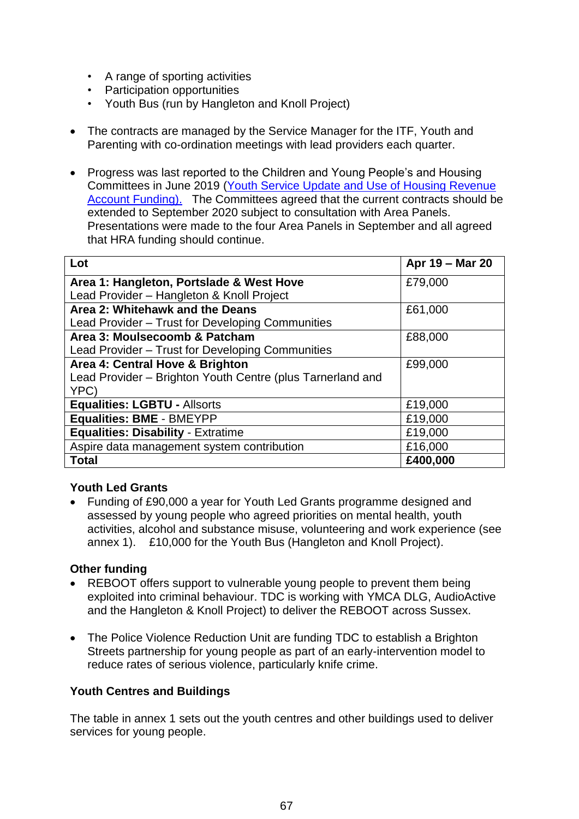- A range of sporting activities
- Participation opportunities
- Youth Bus (run by Hangleton and Knoll Project)
- The contracts are managed by the Service Manager for the ITF, Youth and Parenting with co-ordination meetings with lead providers each quarter.
- Progress was last reported to the Children and Young People's and Housing Committees in June 2019 [\(Youth Service Update and Use of Housing Revenue](https://present.brighton-hove.gov.uk/Published/C00000883/M00009731/AI00073613/$20190607180329_019707_0065137_YouthServiceUpdateandUseofHousingRevenueAccountFundingCYPSCv1.docxA.ps.pdf)  [Account Funding\).](https://present.brighton-hove.gov.uk/Published/C00000883/M00009731/AI00073613/$20190607180329_019707_0065137_YouthServiceUpdateandUseofHousingRevenueAccountFundingCYPSCv1.docxA.ps.pdf) The Committees agreed that the current contracts should be extended to September 2020 subject to consultation with Area Panels. Presentations were made to the four Area Panels in September and all agreed that HRA funding should continue.

| Lot                                                        | Apr 19 - Mar 20 |
|------------------------------------------------------------|-----------------|
| Area 1: Hangleton, Portslade & West Hove                   | £79,000         |
| Lead Provider - Hangleton & Knoll Project                  |                 |
| Area 2: Whitehawk and the Deans                            | £61,000         |
| Lead Provider - Trust for Developing Communities           |                 |
| Area 3: Moulsecoomb & Patcham                              | £88,000         |
| Lead Provider – Trust for Developing Communities           |                 |
| Area 4: Central Hove & Brighton                            | £99,000         |
| Lead Provider - Brighton Youth Centre (plus Tarnerland and |                 |
| YPC)                                                       |                 |
| <b>Equalities: LGBTU - Allsorts</b>                        | £19,000         |
| <b>Equalities: BME - BMEYPP</b>                            | £19,000         |
| <b>Equalities: Disability - Extratime</b>                  | £19,000         |
| Aspire data management system contribution                 | £16,000         |
| <b>Total</b>                                               | £400,000        |

## **Youth Led Grants**

 Funding of £90,000 a year for Youth Led Grants programme designed and assessed by young people who agreed priorities on mental health, youth activities, alcohol and substance misuse, volunteering and work experience (see annex 1). £10,000 for the Youth Bus (Hangleton and Knoll Project).

#### **Other funding**

- REBOOT offers support to vulnerable young people to prevent them being exploited into criminal behaviour. TDC is working with YMCA DLG, AudioActive and the Hangleton & Knoll Project) to deliver the REBOOT across Sussex.
- The Police Violence Reduction Unit are funding TDC to establish a Brighton Streets partnership for young people as part of an early-intervention model to reduce rates of serious violence, particularly knife crime.

#### **Youth Centres and Buildings**

The table in annex 1 sets out the youth centres and other buildings used to deliver services for young people.